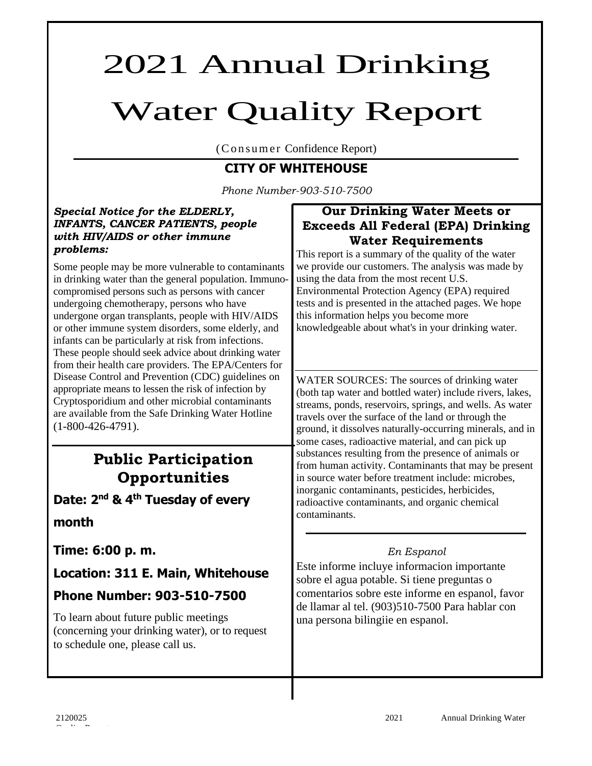# 2021 Annual Drinking

# Water Quality Report

(Consumer Confidence Report)

# **CITY OF WHITEHOUSE**

*Phone Number-903-510-7500*

### *Special Notice for the ELDERLY, INFANTS, CANCER PATIENTS, people with HIV/AIDS or other immune problems:*

Some people may be more vulnerable to contaminants in drinking water than the general population. Immunocompromised persons such as persons with cancer undergoing chemotherapy, persons who have undergone organ transplants, people with HIV/AIDS or other immune system disorders, some elderly, and infants can be particularly at risk from infections. These people should seek advice about drinking water from their health care providers. The EPA/Centers for Disease Control and Prevention (CDC) guidelines on appropriate means to lessen the risk of infection by Cryptosporidium and other microbial contaminants are available from the Safe Drinking Water Hotline (1-800-426-4791).

# **Public Participation Opportunities**

**Date: 2 nd & 4 th Tuesday of every** 

# **month**

**Time: 6:00 p. m.**

**Location: 311 E. Main, Whitehouse** 

# **Phone Number: 903-510-7500**

To learn about future public meetings (concerning your drinking water), or to request to schedule one, please call us.

# **Our Drinking Water Meets or Exceeds All Federal (EPA) Drinking Water Requirements**

This report is a summary of the quality of the water we provide our customers. The analysis was made by using the data from the most recent U.S. Environmental Protection Agency (EPA) required tests and is presented in the attached pages. We hope this information helps you become more knowledgeable about what's in your drinking water.

WATER SOURCES: The sources of drinking water (both tap water and bottled water) include rivers, lakes, streams, ponds, reservoirs, springs, and wells. As water travels over the surface of the land or through the ground, it dissolves naturally-occurring minerals, and in some cases, radioactive material, and can pick up substances resulting from the presence of animals or from human activity. Contaminants that may be present in source water before treatment include: microbes, inorganic contaminants, pesticides, herbicides, radioactive contaminants, and organic chemical contaminants.

# *En Espanol*

Este informe incluye informacion importante sobre el agua potable. Si tiene preguntas o comentarios sobre este informe en espanol, favor de llamar al tel. (903)510-7500 Para hablar con una persona bilingiie en espanol.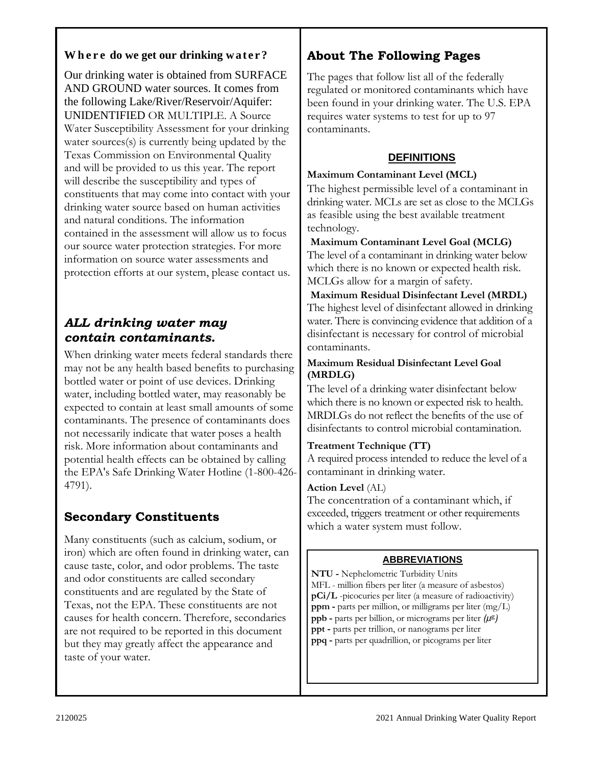# **W h e r e do we get our drinking w at e r ?**

Our drinking water is obtained from SURFACE AND GROUND water sources. It comes from the following Lake/River/Reservoir/Aquifer: UNIDENTIFIED OR MULTIPLE. A Source Water Susceptibility Assessment for your drinking water sources(s) is currently being updated by the Texas Commission on Environmental Quality and will be provided to us this year. The report will describe the susceptibility and types of constituents that may come into contact with your drinking water source based on human activities and natural conditions. The information contained in the assessment will allow us to focus our source water protection strategies. For more information on source water assessments and protection efforts at our system, please contact us.

# *ALL drinking water may contain contaminants.*

When drinking water meets federal standards there may not be any health based benefits to purchasing bottled water or point of use devices. Drinking water, including bottled water, may reasonably be expected to contain at least small amounts of some contaminants. The presence of contaminants does not necessarily indicate that water poses a health risk. More information about contaminants and potential health effects can be obtained by calling the EPA's Safe Drinking Water Hotline (1-800-426- 4791).

# **Secondary Constituents**

Many constituents (such as calcium, sodium, or iron) which are often found in drinking water, can cause taste, color, and odor problems. The taste and odor constituents are called secondary constituents and are regulated by the State of Texas, not the EPA. These constituents are not causes for health concern. Therefore, secondaries are not required to be reported in this document but they may greatly affect the appearance and taste of your water.

# **About The Following Pages**

The pages that follow list all of the federally regulated or monitored contaminants which have been found in your drinking water. The U.S. EPA requires water systems to test for up to 97 contaminants.

# **DEFINITIONS**

## **Maximum Contaminant Level (MCL)**

The highest permissible level of a contaminant in drinking water. MCLs are set as close to the MCLGs as feasible using the best available treatment technology.

#### **Maximum Contaminant Level Goal (MCLG)**  The level of a contaminant in drinking water below which there is no known or expected health risk. MCLGs allow for a margin of safety.

# **Maximum Residual Disinfectant Level (MRDL)**  The highest level of disinfectant allowed in drinking water. There is convincing evidence that addition of a disinfectant is necessary for control of microbial contaminants.

## **Maximum Residual Disinfectant Level Goal (MRDLG)**

The level of a drinking water disinfectant below which there is no known or expected risk to health. MRDLGs do not reflect the benefits of the use of disinfectants to control microbial contamination.

# **Treatment Technique (TT)**

A required process intended to reduce the level of a contaminant in drinking water.

# **Action Level** (AL)

The concentration of a contaminant which, if exceeded, triggers treatment or other requirements which a water system must follow.

# **ABBREVIATIONS**

**NTU -** Nephelometric Turbidity Units MFL - million fibers per liter (a measure of asbestos) **pCi/L** -picocuries per liter (a measure of radioactivity) **ppm -** parts per million, or milligrams per liter (mg/L) **ppb -** parts per billion, or micrograms per liter *(µ*g*)* **ppt -** parts per trillion, or nanograms per liter **ppq -** parts per quadrillion, or picograms per liter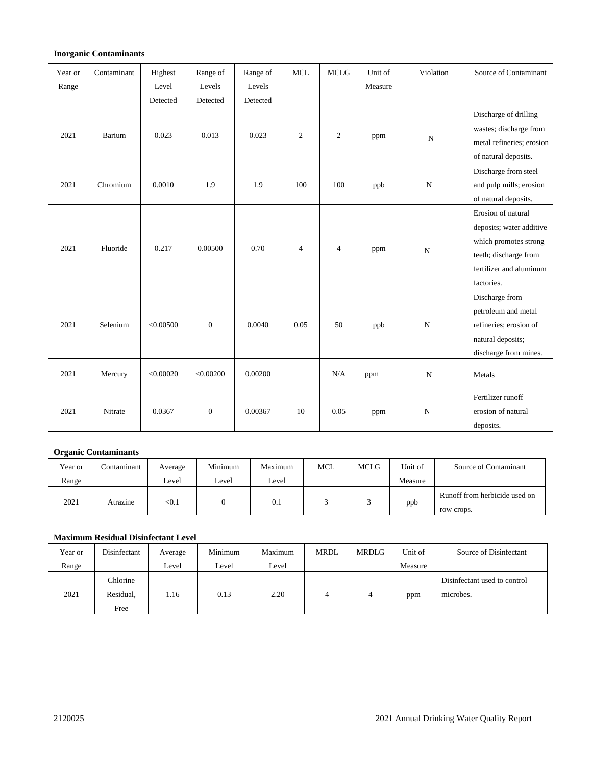#### **Inorganic Contaminants**

| Year or | Contaminant | Highest   | Range of     | Range of | <b>MCL</b>     | <b>MCLG</b>    | Unit of | Violation   | Source of Contaminant                                                                                                                     |
|---------|-------------|-----------|--------------|----------|----------------|----------------|---------|-------------|-------------------------------------------------------------------------------------------------------------------------------------------|
| Range   |             | Level     | Levels       | Levels   |                |                | Measure |             |                                                                                                                                           |
|         |             | Detected  | Detected     | Detected |                |                |         |             |                                                                                                                                           |
|         |             |           |              |          |                |                |         |             | Discharge of drilling<br>wastes; discharge from                                                                                           |
| 2021    | Barium      | 0.023     | 0.013        | 0.023    | $\mathfrak{2}$ | $\overline{2}$ | ppm     | $\mathbf N$ | metal refineries; erosion<br>of natural deposits.                                                                                         |
| 2021    | Chromium    | 0.0010    | 1.9          | 1.9      | 100            | 100            | ppb     | $\mathbf N$ | Discharge from steel<br>and pulp mills; erosion<br>of natural deposits.                                                                   |
| 2021    | Fluoride    | 0.217     | 0.00500      | 0.70     | $\overline{4}$ | $\overline{4}$ | ppm     | $\mathbf N$ | Erosion of natural<br>deposits; water additive<br>which promotes strong<br>teeth; discharge from<br>fertilizer and aluminum<br>factories. |
| 2021    | Selenium    | < 0.00500 | $\mathbf{0}$ | 0.0040   | 0.05           | 50             | ppb     | ${\bf N}$   | Discharge from<br>petroleum and metal<br>refineries; erosion of<br>natural deposits;<br>discharge from mines.                             |
| 2021    | Mercury     | < 0.00020 | < 0.00200    | 0.00200  |                | N/A            | ppm     | $\mathbf N$ | Metals                                                                                                                                    |
| 2021    | Nitrate     | 0.0367    | $\mathbf{0}$ | 0.00367  | 10             | 0.05           | ppm     | ${\bf N}$   | Fertilizer runoff<br>erosion of natural<br>deposits.                                                                                      |

#### **Organic Contaminants**

| Year or | Contaminant | Average                 | Minimum | Maximum | <b>MCL</b> | <b>MCLG</b> | Unit of | Source of Contaminant                       |
|---------|-------------|-------------------------|---------|---------|------------|-------------|---------|---------------------------------------------|
| Range   |             | Level                   | Level   | Level   |            |             | Measure |                                             |
| 2021    | Atrazine    | $< \hspace{-0.2em} 0.1$ |         | 0.1     |            |             | ppb     | Runoff from herbicide used on<br>row crops. |

#### **Maximum Residual Disinfectant Level**

| Year or | Disinfectant                  | Average | Minimum | Maximum | MRDL | <b>MRDLG</b> | Unit of | Source of Disinfectant                    |
|---------|-------------------------------|---------|---------|---------|------|--------------|---------|-------------------------------------------|
| Range   |                               | Level   | Level   | Level   |      |              | Measure |                                           |
| 2021    | Chlorine<br>Residual,<br>Free | 1.16    | 0.13    | 2.20    |      |              | ppm     | Disinfectant used to control<br>microbes. |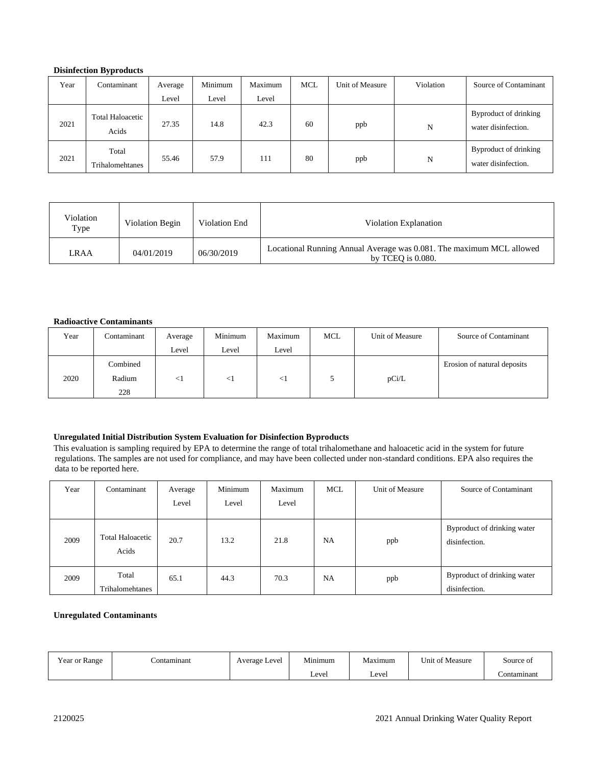#### **Disinfection Byproducts**

| Year | Contaminant               | Average | Minimum | Maximum | <b>MCL</b> | Unit of Measure | Violation | Source of Contaminant                        |
|------|---------------------------|---------|---------|---------|------------|-----------------|-----------|----------------------------------------------|
|      |                           | Level   | Level   | Level   |            |                 |           |                                              |
| 2021 | Total Haloacetic<br>Acids | 27.35   | 14.8    | 42.3    | 60         | ppb             | N         | Byproduct of drinking<br>water disinfection. |
| 2021 | Total<br>Trihalomehtanes  | 55.46   | 57.9    | 111     | 80         | ppb             | N         | Byproduct of drinking<br>water disinfection. |

| Violation<br>Type | Violation Begin | Violation End | Violation Explanation                                                                        |
|-------------------|-----------------|---------------|----------------------------------------------------------------------------------------------|
| LRAA              | 04/01/2019      | 06/30/2019    | Locational Running Annual Average was 0.081. The maximum MCL allowed<br>by TCEO is $0.080$ . |

#### **Radioactive Contaminants**

| Year | Contaminant | Average  | Minimum | Maximum | <b>MCL</b> | Unit of Measure | Source of Contaminant       |
|------|-------------|----------|---------|---------|------------|-----------------|-----------------------------|
|      |             | Level    | Level   | Level   |            |                 |                             |
|      | Combined    |          |         |         |            |                 | Erosion of natural deposits |
| 2020 | Radium      | $\leq$ 1 | $\leq$  | $\leq$  |            | pCi/L           |                             |
|      | 228         |          |         |         |            |                 |                             |

#### **Unregulated Initial Distribution System Evaluation for Disinfection Byproducts**

This evaluation is sampling required by EPA to determine the range of total trihalomethane and haloacetic acid in the system for future regulations. The samples are not used for compliance, and may have been collected under non-standard conditions. EPA also requires the data to be reported here.

| Year | Contaminant                      | Average | Minimum | Maximum | <b>MCL</b> | Unit of Measure | Source of Contaminant                        |
|------|----------------------------------|---------|---------|---------|------------|-----------------|----------------------------------------------|
|      |                                  | Level   | Level   | Level   |            |                 |                                              |
| 2009 | <b>Total Haloacetic</b><br>Acids | 20.7    | 13.2    | 21.8    | NA         | ppb             | Byproduct of drinking water<br>disinfection. |
| 2009 | Total<br>Trihalomehtanes         | 65.1    | 44.3    | 70.3    | <b>NA</b>  | ppb             | Byproduct of drinking water<br>disinfection. |

#### **Unregulated Contaminants**

| Year or Range | `ontaminant | Average Level | Minimum | $\mathbf{r}$<br>Maximum | Unit of Measure | Source of    |
|---------------|-------------|---------------|---------|-------------------------|-----------------|--------------|
|               |             |               | Level   | Level                   |                 | .`ontaminant |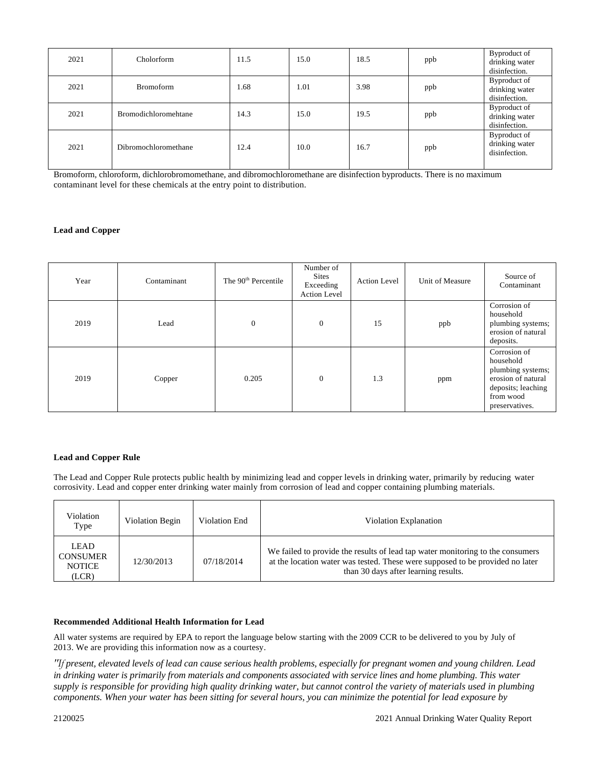| 2021 | Cholorform                  | 11.5 | 15.0 | 18.5 | ppb | Byproduct of<br>drinking water<br>disinfection. |
|------|-----------------------------|------|------|------|-----|-------------------------------------------------|
| 2021 | <b>Bromoform</b>            | 1.68 | 1.01 | 3.98 | ppb | Byproduct of<br>drinking water<br>disinfection. |
| 2021 | <b>Bromodichloromehtane</b> | 14.3 | 15.0 | 19.5 | ppb | Byproduct of<br>drinking water<br>disinfection. |
| 2021 | Dibromochloromethane        | 12.4 | 10.0 | 16.7 | ppb | Byproduct of<br>drinking water<br>disinfection. |

Bromoform, chloroform, dichlorobromomethane, and dibromochloromethane are disinfection byproducts. There is no maximum contaminant level for these chemicals at the entry point to distribution.

#### **Lead and Copper**

| Year | Contaminant | The 90 <sup>th</sup> Percentile | Number of<br><b>Sites</b><br>Exceeding<br><b>Action Level</b> | <b>Action Level</b> | Unit of Measure | Source of<br>Contaminant                                                                                                  |
|------|-------------|---------------------------------|---------------------------------------------------------------|---------------------|-----------------|---------------------------------------------------------------------------------------------------------------------------|
| 2019 | Lead        | $\mathbf{0}$                    | $\mathbf{0}$                                                  | 15                  | ppb             | Corrosion of<br>household<br>plumbing systems;<br>erosion of natural<br>deposits.                                         |
| 2019 | Copper      | 0.205                           | $\boldsymbol{0}$                                              | 1.3                 | ppm             | Corrosion of<br>household<br>plumbing systems;<br>erosion of natural<br>deposits; leaching<br>from wood<br>preservatives. |

#### **Lead and Copper Rule**

The Lead and Copper Rule protects public health by minimizing lead and copper levels in drinking water, primarily by reducing water corrosivity. Lead and copper enter drinking water mainly from corrosion of lead and copper containing plumbing materials.

| Violation<br>Type                                 | Violation Begin | Violation End | Violation Explanation                                                                                                                                                                                   |
|---------------------------------------------------|-----------------|---------------|---------------------------------------------------------------------------------------------------------------------------------------------------------------------------------------------------------|
| LEAD<br><b>CONSUMER</b><br><b>NOTICE</b><br>(LCR) | 12/30/2013      | 07/18/2014    | We failed to provide the results of lead tap water monitoring to the consumers<br>at the location water was tested. These were supposed to be provided no later<br>than 30 days after learning results. |

#### **Recommended Additional Health Information for Lead**

All water systems are required by EPA to report the language below starting with the 2009 CCR to be delivered to you by July of 2013. We are providing this information now as a courtesy.

*"If present, elevated levels of lead can cause serious health problems, especially for pregnant women and young children. Lead in drinking water is primarily from materials and components associated with service lines and home plumbing. This water supply is responsible for providing high quality drinking water, but cannot control the variety of materials used in plumbing components. When your water has been sitting for several hours, you can minimize the potential for lead exposure by*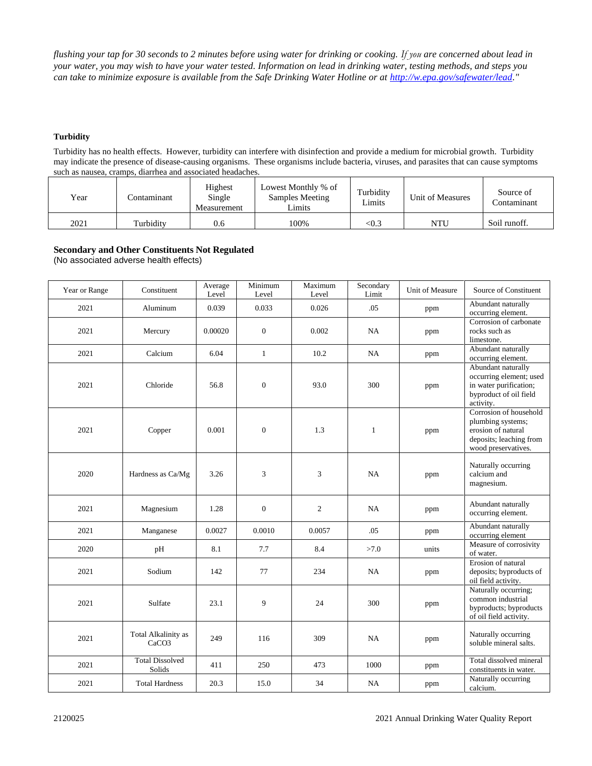*flushing your tap for 30 seconds to 2 minutes before using water for drinking or cooking. If you are concerned about lead in your water, you may wish to have your water tested. Information on lead in drinking water, testing methods, and steps you can take to minimize exposure is available from the Safe Drinking Water Hotline or at [http://w.epa.gov/safewater/lead.](http://w.epa.gov/safewater/lead)"*

#### **Turbidity**

Turbidity has no health effects. However, turbidity can interfere with disinfection and provide a medium for microbial growth. Turbidity may indicate the presence of disease-causing organisms. These organisms include bacteria, viruses, and parasites that can cause symptoms such as nausea, cramps, diarrhea and associated headaches.

| Year | .`ontamınant | Highest<br>Single<br>Measurement | Lowest Monthly % of<br>Samples Meeting<br>Limits | Turbidity<br>Limits | Unit of Measures | Source of<br>Contaminant |
|------|--------------|----------------------------------|--------------------------------------------------|---------------------|------------------|--------------------------|
| 2021 | Turbidity    | 0.6                              | 100%                                             | <0.3                | NTU              | Soil runoff.             |

#### **Secondary and Other Constituents Not Regulated**

(No associated adverse health effects)

| Year or Range | Constituent                              | Average<br>Level | Minimum<br>Level | Maximum<br>Level | Secondary<br>Limit | Unit of Measure | Source of Constituent                                                                                               |
|---------------|------------------------------------------|------------------|------------------|------------------|--------------------|-----------------|---------------------------------------------------------------------------------------------------------------------|
| 2021          | Aluminum                                 | 0.039            | 0.033            | 0.026            | .05                | ppm             | Abundant naturally<br>occurring element.                                                                            |
| 2021          | Mercury                                  | 0.00020          | $\overline{0}$   | 0.002            | NA                 | ppm             | Corrosion of carbonate<br>rocks such as<br>limestone.                                                               |
| 2021          | Calcium                                  | 6.04             | $\mathbf{1}$     | 10.2             | <b>NA</b>          | ppm             | Abundant naturally<br>occurring element.                                                                            |
| 2021          | Chloride                                 | 56.8             | $\boldsymbol{0}$ | 93.0             | 300                | ppm             | Abundant naturally<br>occurring element; used<br>in water purification;<br>byproduct of oil field<br>activity.      |
| 2021          | Copper                                   | 0.001            | $\boldsymbol{0}$ | 1.3              | $\mathbf{1}$       | ppm             | Corrosion of household<br>plumbing systems;<br>erosion of natural<br>deposits; leaching from<br>wood preservatives. |
| 2020          | Hardness as Ca/Mg                        | 3.26             | 3                | 3                | NA                 | ppm             | Naturally occurring<br>calcium and<br>magnesium.                                                                    |
| 2021          | Magnesium                                | 1.28             | $\boldsymbol{0}$ | $\mathbf{2}$     | NA                 | ppm             | Abundant naturally<br>occurring element.                                                                            |
| 2021          | Manganese                                | 0.0027           | 0.0010           | 0.0057           | .05                | ppm             | Abundant naturally<br>occurring element                                                                             |
| 2020          | pH                                       | 8.1              | 7.7              | 8.4              | >7.0               | units           | Measure of corrosivity<br>of water.                                                                                 |
| 2021          | Sodium                                   | 142              | 77               | 234              | <b>NA</b>          | ppm             | Erosion of natural<br>deposits; byproducts of<br>oil field activity.                                                |
| 2021          | Sulfate                                  | 23.1             | 9                | 24               | 300                | ppm             | Naturally occurring;<br>common industrial<br>byproducts; byproducts<br>of oil field activity.                       |
| 2021          | Total Alkalinity as<br>CaCO <sub>3</sub> | 249              | 116              | 309              | <b>NA</b>          | ppm             | Naturally occurring<br>soluble mineral salts.                                                                       |
| 2021          | <b>Total Dissolved</b><br>Solids         | 411              | 250              | 473              | 1000               | ppm             | Total dissolved mineral<br>constituents in water.                                                                   |
| 2021          | <b>Total Hardness</b>                    | 20.3             | 15.0             | 34               | NA                 | ppm             | Naturally occurring<br>calcium.                                                                                     |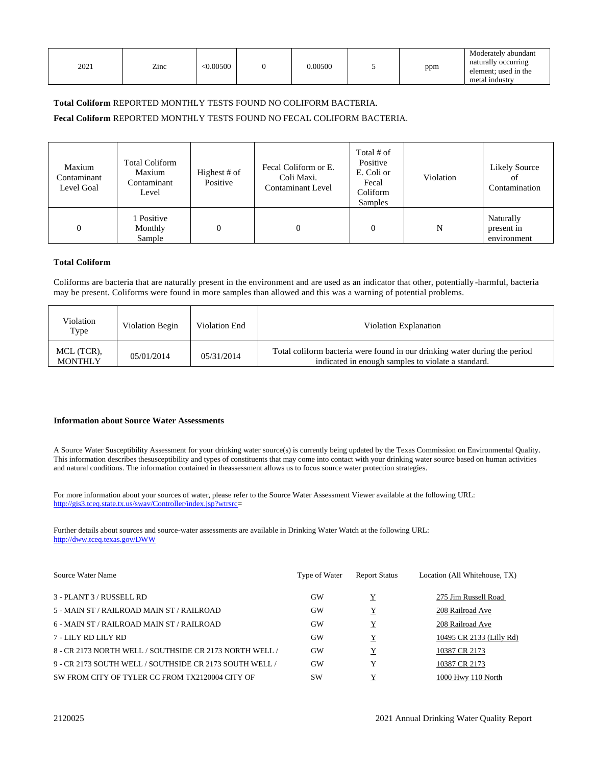| 2021 | Zinc | < 0.00500 | 0.00500 | ppm | Moderately abundant<br>naturally occurring<br>element; used in the<br>metal industry |
|------|------|-----------|---------|-----|--------------------------------------------------------------------------------------|

#### **Total Coliform** REPORTED MONTHLY TESTS FOUND NO COLIFORM BACTERIA.

**Fecal Coliform** REPORTED MONTHLY TESTS FOUND NO FECAL COLIFORM BACTERIA.

| Maxium<br>Contaminant<br>Level Goal | <b>Total Coliform</b><br>Maxium<br>Contaminant<br>Level | Highest # of<br>Positive | Fecal Coliform or E.<br>Coli Maxi.<br><b>Contaminant Level</b> | Total # of<br>Positive<br>E. Coli or<br>Fecal<br>Coliform<br><b>Samples</b> | Violation | Likely Source<br>οt<br>Contamination   |
|-------------------------------------|---------------------------------------------------------|--------------------------|----------------------------------------------------------------|-----------------------------------------------------------------------------|-----------|----------------------------------------|
| $\boldsymbol{0}$                    | 1 Positive<br>Monthly<br>Sample                         |                          |                                                                | $\overline{0}$                                                              | N         | Naturally<br>present in<br>environment |

#### **Total Coliform**

Coliforms are bacteria that are naturally present in the environment and are used as an indicator that other, potentially -harmful, bacteria may be present. Coliforms were found in more samples than allowed and this was a warning of potential problems.

| Violation<br>Type            | Violation Begin | Violation End | Violation Explanation                                                                                                            |
|------------------------------|-----------------|---------------|----------------------------------------------------------------------------------------------------------------------------------|
| MCL (TCR).<br><b>MONTHLY</b> | 05/01/2014      | 05/31/2014    | Total coliform bacteria were found in our drinking water during the period<br>indicated in enough samples to violate a standard. |

#### **Information about Source Water Assessments**

A Source Water Susceptibility Assessment for your drinking water source(s) is currently being updated by the Texas Commission on Environmental Quality. This information describes thesusceptibility and types of constituents that may come into contact with your drinking water source based on human activities and natural conditions. The information contained in theassessment allows us to focus source water protection strategies.

For more information about your sources of water, please refer to the Source Water Assessment Viewer available at the following URL: [http://gis3.tceq.state.tx.us/swav/Controller/index.jsp?wtrsrc=](http://gis3.tceq.state.tx.us/swav/Controller/index.jsp?wtrsrc)

Further details about sources and source-water assessments are available in Drinking Water Watch at the following URL: <http://dww.tceq.texas.gov/DWW>

| Source Water Name                                       | Type of Water | <b>Report Status</b> | Location (All Whitehouse, TX) |
|---------------------------------------------------------|---------------|----------------------|-------------------------------|
| 3 - PLANT 3 / RUSSELL RD                                | <b>GW</b>     |                      | 275 Jim Russell Road          |
| 5 - MAIN ST / RAILROAD MAIN ST / RAILROAD               | GW            | Y                    | 208 Railroad Ave              |
| 6 - MAIN ST / RAILROAD MAIN ST / RAILROAD               | <b>GW</b>     | Y                    | 208 Railroad Ave              |
| 7 - LILY RD LILY RD                                     | GW            | Y                    | 10495 CR 2133 (Lilly Rd)      |
| 8 - CR 2173 NORTH WELL / SOUTHSIDE CR 2173 NORTH WELL / | GW            | Y                    | 10387 CR 2173                 |
| 9 - CR 2173 SOUTH WELL / SOUTHSIDE CR 2173 SOUTH WELL / | GW            | Y                    | 10387 CR 2173                 |
| SW FROM CITY OF TYLER CC FROM TX2120004 CITY OF         | <b>SW</b>     |                      | 1000 Hwy 110 North            |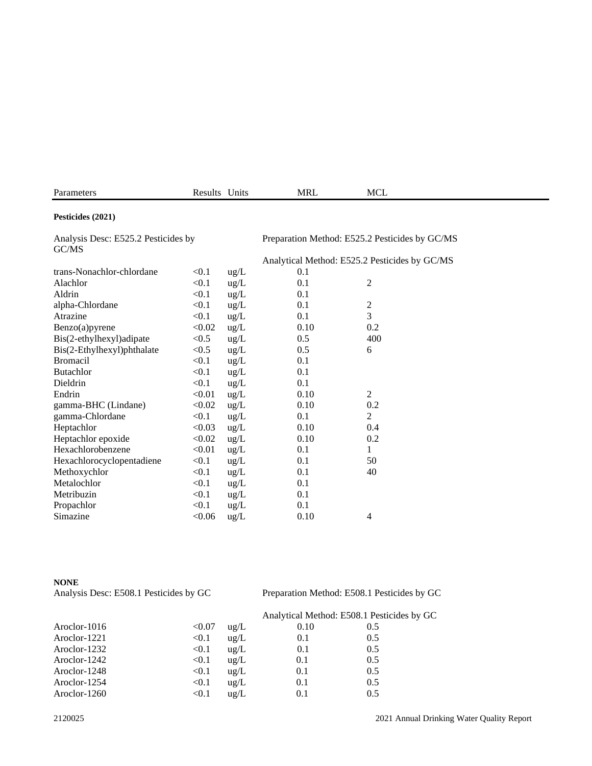| Parameters                                   | Results Units |               | <b>MRL</b>                                     | MCL |  |
|----------------------------------------------|---------------|---------------|------------------------------------------------|-----|--|
| Pesticides (2021)                            |               |               |                                                |     |  |
| Analysis Desc: E525.2 Pesticides by<br>GC/MS |               |               | Preparation Method: E525.2 Pesticides by GC/MS |     |  |
|                                              |               |               | Analytical Method: E525.2 Pesticides by GC/MS  |     |  |
| trans-Nonachlor-chlordane                    | < 0.1         | $\text{ug/L}$ | 0.1                                            |     |  |
| Alachlor                                     | $<$ 0.1       | $\text{ug/L}$ | 0.1                                            |     |  |

| Анаснюі                    | $\sim$ U.I | $\frac{\mu g}{L}$ | U.1  | ∠              |
|----------------------------|------------|-------------------|------|----------------|
| Aldrin                     | < 0.1      | $\text{ug/L}$     | 0.1  |                |
| alpha-Chlordane            | < 0.1      | ug/L              | 0.1  | $\overline{c}$ |
| Atrazine                   | < 0.1      | ug/L              | 0.1  | 3              |
| Benzo(a)pyrene             | < 0.02     | $\text{ug/L}$     | 0.10 | 0.2            |
| Bis(2-ethylhexyl) adipate  | < 0.5      | $\text{ug/L}$     | 0.5  | 400            |
| Bis(2-Ethylhexyl)phthalate | < 0.5      | $\text{ug/L}$     | 0.5  | 6              |
| <b>Bromacil</b>            | < 0.1      | $\text{ug/L}$     | 0.1  |                |
| <b>Butachlor</b>           | < 0.1      | ug/L              | 0.1  |                |
| Dieldrin                   | < 0.1      | ug/L              | 0.1  |                |
| Endrin                     | < 0.01     | $\text{ug/L}$     | 0.10 | $\overline{2}$ |
| gamma-BHC (Lindane)        | < 0.02     | $\text{ug/L}$     | 0.10 | 0.2            |
| gamma-Chlordane            | < 0.1      | ug/L              | 0.1  | $\overline{2}$ |
| Heptachlor                 | < 0.03     | $\text{ug/L}$     | 0.10 | 0.4            |
| Heptachlor epoxide         | < 0.02     | ug/L              | 0.10 | 0.2            |
| Hexachlorobenzene          | < 0.01     | ug/L              | 0.1  | 1              |
| Hexachlorocyclopentadiene  | < 0.1      | $\text{ug/L}$     | 0.1  | 50             |
| Methoxychlor               | < 0.1      | ug/L              | 0.1  | 40             |
| Metalochlor                | < 0.1      | $\text{ug/L}$     | 0.1  |                |
| Metribuzin                 | < 0.1      | ug/L              | 0.1  |                |
| Propachlor                 | < 0.1      | ug/L              | 0.1  |                |
| Simazine                   | < 0.06     | ug/L              | 0.10 | 4              |
|                            |            |                   |      |                |

**NONE**<br>Analysis Desc: E508.1 Pesticides by GC

Preparation Method: E508.1 Pesticides by GC

|              |        |                   | Analytical Method: E508.1 Pesticides by GC |     |  |
|--------------|--------|-------------------|--------------------------------------------|-----|--|
| Aroclor-1016 | < 0.07 | $u\text{g}/L$     | 0.10                                       | 0.5 |  |
| Aroclor-1221 | < 0.1  | ug/L              | 0.1                                        | 0.5 |  |
| Aroclor-1232 | < 0.1  | ug/L              | 0.1                                        | 0.5 |  |
| Aroclor-1242 | < 0.1  | ug/L              | 0.1                                        | 0.5 |  |
| Aroclor-1248 | < 0.1  | ug/L              | 0.1                                        | 0.5 |  |
| Aroclor-1254 | < 0.1  | ug/L              | 0.1                                        | 0.5 |  |
| Aroclor-1260 | < 0.1  | $u\mathfrak{L}/L$ | 0.1                                        | 0.5 |  |
|              |        |                   |                                            |     |  |